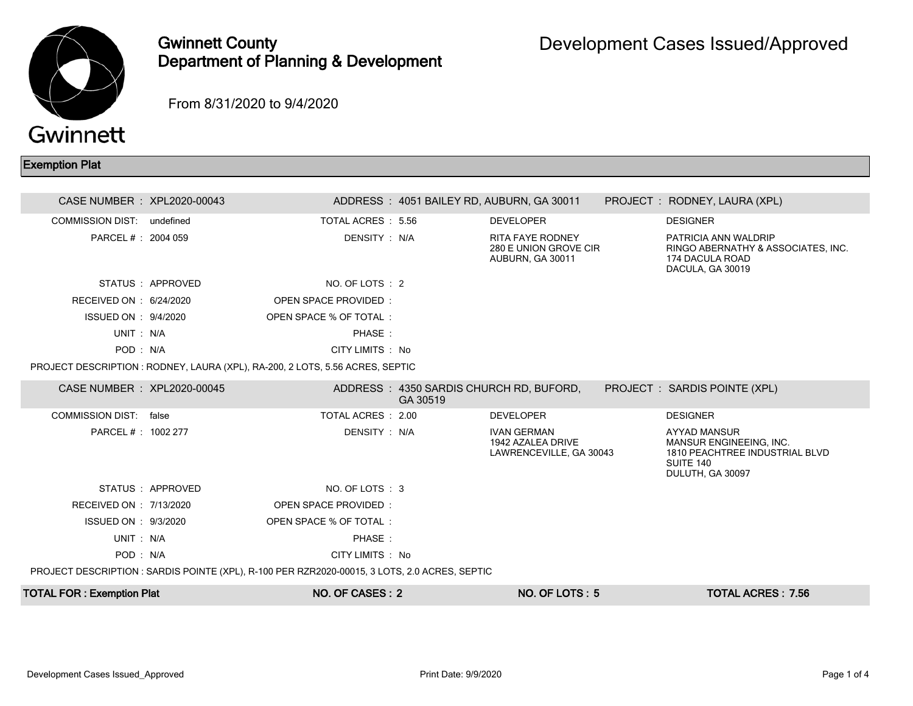

## Gwinnett County Department of Planning & Development

From 8/31/2020 to 9/4/2020

## Exemption Plat

| CASE NUMBER : XPL2020-00043                                                                   |                   |                                                                               |          | ADDRESS: 4051 BAILEY RD, AUBURN, GA 30011                            |  | PROJECT: RODNEY, LAURA (XPL)                                                                                      |  |  |  |
|-----------------------------------------------------------------------------------------------|-------------------|-------------------------------------------------------------------------------|----------|----------------------------------------------------------------------|--|-------------------------------------------------------------------------------------------------------------------|--|--|--|
| COMMISSION DIST: undefined                                                                    |                   | TOTAL ACRES : 5.56                                                            |          | <b>DEVELOPER</b>                                                     |  | <b>DESIGNER</b>                                                                                                   |  |  |  |
| PARCEL # : 2004 059                                                                           |                   | DENSITY : N/A                                                                 |          | <b>RITA FAYE RODNEY</b><br>280 E UNION GROVE CIR<br>AUBURN, GA 30011 |  | PATRICIA ANN WALDRIP<br>RINGO ABERNATHY & ASSOCIATES, INC.<br>174 DACULA ROAD<br>DACULA, GA 30019                 |  |  |  |
|                                                                                               | STATUS : APPROVED | NO. OF LOTS : 2                                                               |          |                                                                      |  |                                                                                                                   |  |  |  |
| RECEIVED ON : 6/24/2020                                                                       |                   | <b>OPEN SPACE PROVIDED:</b>                                                   |          |                                                                      |  |                                                                                                                   |  |  |  |
| ISSUED ON : 9/4/2020                                                                          |                   | OPEN SPACE % OF TOTAL:                                                        |          |                                                                      |  |                                                                                                                   |  |  |  |
| UNIT: N/A                                                                                     |                   | PHASE:                                                                        |          |                                                                      |  |                                                                                                                   |  |  |  |
| POD: N/A                                                                                      |                   | CITY LIMITS : No                                                              |          |                                                                      |  |                                                                                                                   |  |  |  |
|                                                                                               |                   | PROJECT DESCRIPTION : RODNEY, LAURA (XPL), RA-200, 2 LOTS, 5.56 ACRES, SEPTIC |          |                                                                      |  |                                                                                                                   |  |  |  |
| CASE NUMBER : XPL2020-00045                                                                   |                   |                                                                               | GA 30519 | ADDRESS: 4350 SARDIS CHURCH RD, BUFORD,                              |  | PROJECT : SARDIS POINTE (XPL)                                                                                     |  |  |  |
| COMMISSION DIST: false                                                                        |                   | TOTAL ACRES : 2.00                                                            |          | <b>DEVELOPER</b>                                                     |  | <b>DESIGNER</b>                                                                                                   |  |  |  |
| PARCEL #: 1002 277                                                                            |                   | DENSITY : N/A                                                                 |          | <b>IVAN GERMAN</b><br>1942 AZALEA DRIVE<br>LAWRENCEVILLE, GA 30043   |  | <b>AYYAD MANSUR</b><br>MANSUR ENGINEEING. INC.<br>1810 PEACHTREE INDUSTRIAL BLVD<br>SUITE 140<br>DULUTH, GA 30097 |  |  |  |
|                                                                                               | STATUS : APPROVED | NO. OF LOTS: 3                                                                |          |                                                                      |  |                                                                                                                   |  |  |  |
| RECEIVED ON : 7/13/2020                                                                       |                   | <b>OPEN SPACE PROVIDED:</b>                                                   |          |                                                                      |  |                                                                                                                   |  |  |  |
| ISSUED ON : 9/3/2020                                                                          |                   | OPEN SPACE % OF TOTAL:                                                        |          |                                                                      |  |                                                                                                                   |  |  |  |
| UNIT: N/A                                                                                     |                   | PHASE:                                                                        |          |                                                                      |  |                                                                                                                   |  |  |  |
| POD: N/A                                                                                      |                   | CITY LIMITS : No                                                              |          |                                                                      |  |                                                                                                                   |  |  |  |
| PROJECT DESCRIPTION : SARDIS POINTE (XPL), R-100 PER RZR2020-00015, 3 LOTS, 2.0 ACRES, SEPTIC |                   |                                                                               |          |                                                                      |  |                                                                                                                   |  |  |  |
| <b>TOTAL FOR: Exemption Plat</b>                                                              |                   | NO. OF CASES: 2                                                               |          | $NO.$ OF LOTS : 5                                                    |  | <b>TOTAL ACRES: 7.56</b>                                                                                          |  |  |  |
|                                                                                               |                   |                                                                               |          |                                                                      |  |                                                                                                                   |  |  |  |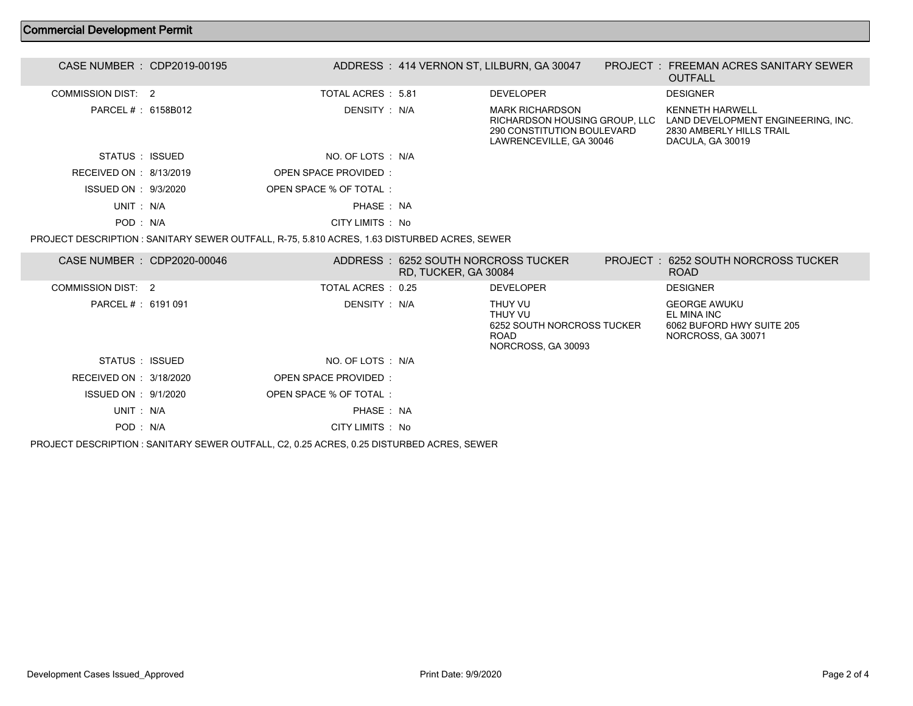## Commercial Development Permit

| CASE NUMBER : CDP2019-00195 |                        | ADDRESS: 414 VERNON ST, LILBURN, GA 30047                                                                 | <b>PROJECT : FREEMAN ACRES SANITARY SEWER</b><br><b>OUTFALL</b>                                       |  |
|-----------------------------|------------------------|-----------------------------------------------------------------------------------------------------------|-------------------------------------------------------------------------------------------------------|--|
| COMMISSION DIST: 2          | TOTAL ACRES : 5.81     | <b>DEVELOPER</b>                                                                                          | <b>DESIGNER</b>                                                                                       |  |
| PARCEL #: 6158B012          | DENSITY : N/A          | MARK RICHARDSON<br>RICHARDSON HOUSING GROUP, LLC<br>290 CONSTITUTION BOULEVARD<br>LAWRENCEVILLE, GA 30046 | KENNETH HARWELL<br>LAND DEVELOPMENT ENGINEERING, INC.<br>2830 AMBERLY HILLS TRAIL<br>DACULA, GA 30019 |  |
| STATUS : ISSUED             | NO. OF LOTS : N/A      |                                                                                                           |                                                                                                       |  |
| RECEIVED ON : 8/13/2019     | OPEN SPACE PROVIDED:   |                                                                                                           |                                                                                                       |  |
| ISSUED ON : 9/3/2020        | OPEN SPACE % OF TOTAL: |                                                                                                           |                                                                                                       |  |
| UNIT: N/A                   | PHASE: NA              |                                                                                                           |                                                                                                       |  |
| POD: N/A                    | CITY LIMITS : No       |                                                                                                           |                                                                                                       |  |
|                             |                        |                                                                                                           |                                                                                                       |  |

PROJECT DESCRIPTION : SANITARY SEWER OUTFALL, R-75, 5.810 ACRES, 1.63 DISTURBED ACRES, SEWER

| CASE NUMBER : CDP2020-00046 |                                                                                           | ADDRESS: 6252 SOUTH NORCROSS TUCKER<br>RD, TUCKER, GA 30084 |                                                                                       | PROJECT: 6252 SOUTH NORCROSS TUCKER<br><b>ROAD</b>                                    |  |
|-----------------------------|-------------------------------------------------------------------------------------------|-------------------------------------------------------------|---------------------------------------------------------------------------------------|---------------------------------------------------------------------------------------|--|
| COMMISSION DIST: 2          | TOTAL ACRES : 0.25                                                                        |                                                             | <b>DEVELOPER</b>                                                                      | <b>DESIGNER</b>                                                                       |  |
| PARCEL # : 6191 091         | DENSITY : N/A                                                                             |                                                             | THUY VU<br>THUY VU<br>6252 SOUTH NORCROSS TUCKER<br><b>ROAD</b><br>NORCROSS, GA 30093 | <b>GEORGE AWUKU</b><br>EL MINA INC<br>6062 BUFORD HWY SUITE 205<br>NORCROSS, GA 30071 |  |
| STATUS : ISSUED             | NO. OF LOTS : N/A                                                                         |                                                             |                                                                                       |                                                                                       |  |
| RECEIVED ON : 3/18/2020     | OPEN SPACE PROVIDED:                                                                      |                                                             |                                                                                       |                                                                                       |  |
| ISSUED ON : 9/1/2020        | OPEN SPACE % OF TOTAL:                                                                    |                                                             |                                                                                       |                                                                                       |  |
| UNIT: N/A                   | PHASE: NA                                                                                 |                                                             |                                                                                       |                                                                                       |  |
| POD: N/A                    | CITY LIMITS : No                                                                          |                                                             |                                                                                       |                                                                                       |  |
|                             | PROJECT DESCRIPTION : SANITARY SEWER OUTFALL, C2, 0.25 ACRES, 0.25 DISTURBED ACRES, SEWER |                                                             |                                                                                       |                                                                                       |  |

Development Cases Issued\_Approved Print Date: 9/9/2020 Page 2 of 4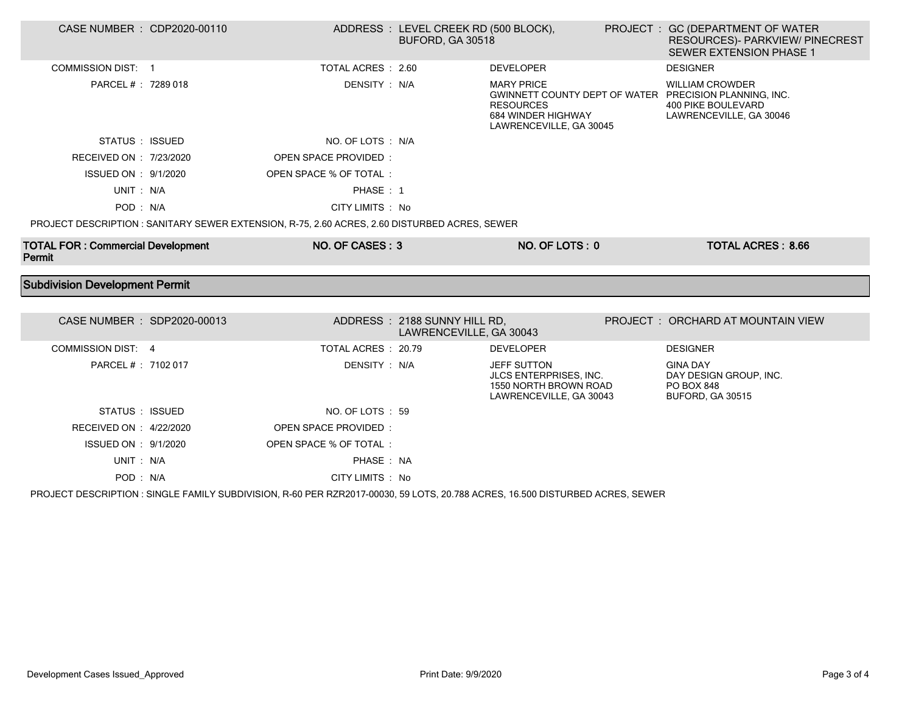| CASE NUMBER : CDP2020-00110              |                                                                                               | ADDRESS : LEVEL CREEK RD (500 BLOCK),<br>BUFORD, GA 30518 |                                                                                           | PROJECT : GC (DEPARTMENT OF WATER<br>RESOURCES)- PARKVIEW/ PINECREST<br><b>SEWER EXTENSION PHASE 1</b>                                   |
|------------------------------------------|-----------------------------------------------------------------------------------------------|-----------------------------------------------------------|-------------------------------------------------------------------------------------------|------------------------------------------------------------------------------------------------------------------------------------------|
| <b>COMMISSION DIST: 1</b>                | TOTAL ACRES : 2.60                                                                            |                                                           | <b>DEVELOPER</b>                                                                          | <b>DESIGNER</b>                                                                                                                          |
| PARCEL # : 7289 018                      | DENSITY: N/A                                                                                  |                                                           | <b>MARY PRICE</b><br><b>RESOURCES</b><br>684 WINDER HIGHWAY<br>LAWRENCEVILLE, GA 30045    | <b>WILLIAM CROWDER</b><br>GWINNETT COUNTY DEPT OF WATER PRECISION PLANNING, INC.<br><b>400 PIKE BOULEVARD</b><br>LAWRENCEVILLE, GA 30046 |
| STATUS : ISSUED                          | NO. OF LOTS : N/A                                                                             |                                                           |                                                                                           |                                                                                                                                          |
| RECEIVED ON : 7/23/2020                  | OPEN SPACE PROVIDED:                                                                          |                                                           |                                                                                           |                                                                                                                                          |
| ISSUED ON : 9/1/2020                     | OPEN SPACE % OF TOTAL :                                                                       |                                                           |                                                                                           |                                                                                                                                          |
| UNIT: N/A                                | PHASE: 1                                                                                      |                                                           |                                                                                           |                                                                                                                                          |
| POD: N/A                                 | CITY LIMITS : No                                                                              |                                                           |                                                                                           |                                                                                                                                          |
|                                          | PROJECT DESCRIPTION : SANITARY SEWER EXTENSION, R-75, 2.60 ACRES, 2.60 DISTURBED ACRES, SEWER |                                                           |                                                                                           |                                                                                                                                          |
| <b>TOTAL FOR: Commercial Development</b> | NO. OF CASES: 3                                                                               |                                                           | NO. OF LOTS: 0                                                                            | <b>TOTAL ACRES: 8.66</b>                                                                                                                 |
| Permit                                   |                                                                                               |                                                           |                                                                                           |                                                                                                                                          |
| <b>Subdivision Development Permit</b>    |                                                                                               |                                                           |                                                                                           |                                                                                                                                          |
|                                          |                                                                                               |                                                           |                                                                                           |                                                                                                                                          |
| CASE NUMBER : SDP2020-00013              |                                                                                               | ADDRESS: 2188 SUNNY HILL RD,<br>LAWRENCEVILLE, GA 30043   |                                                                                           | PROJECT: ORCHARD AT MOUNTAIN VIEW                                                                                                        |
| <b>COMMISSION DIST: 4</b>                | TOTAL ACRES: 20.79                                                                            |                                                           | <b>DEVELOPER</b>                                                                          | <b>DESIGNER</b>                                                                                                                          |
| PARCEL # : 7102 017                      | DENSITY: N/A                                                                                  |                                                           | JEFF SUTTON<br>JLCS ENTERPRISES, INC.<br>1550 NORTH BROWN ROAD<br>LAWRENCEVILLE, GA 30043 | <b>GINA DAY</b><br>DAY DESIGN GROUP, INC.<br><b>PO BOX 848</b><br><b>BUFORD, GA 30515</b>                                                |
| STATUS : ISSUED                          | NO. OF LOTS : 59                                                                              |                                                           |                                                                                           |                                                                                                                                          |
| RECEIVED ON : 4/22/2020                  | <b>OPEN SPACE PROVIDED:</b>                                                                   |                                                           |                                                                                           |                                                                                                                                          |
| ISSUED ON : 9/1/2020                     | OPEN SPACE % OF TOTAL:                                                                        |                                                           |                                                                                           |                                                                                                                                          |
| UNIT: N/A                                | PHASE: NA                                                                                     |                                                           |                                                                                           |                                                                                                                                          |

PROJECT DESCRIPTION : SINGLE FAMILY SUBDIVISION, R-60 PER RZR2017-00030, 59 LOTS, 20.788 ACRES, 16.500 DISTURBED ACRES, SEWER